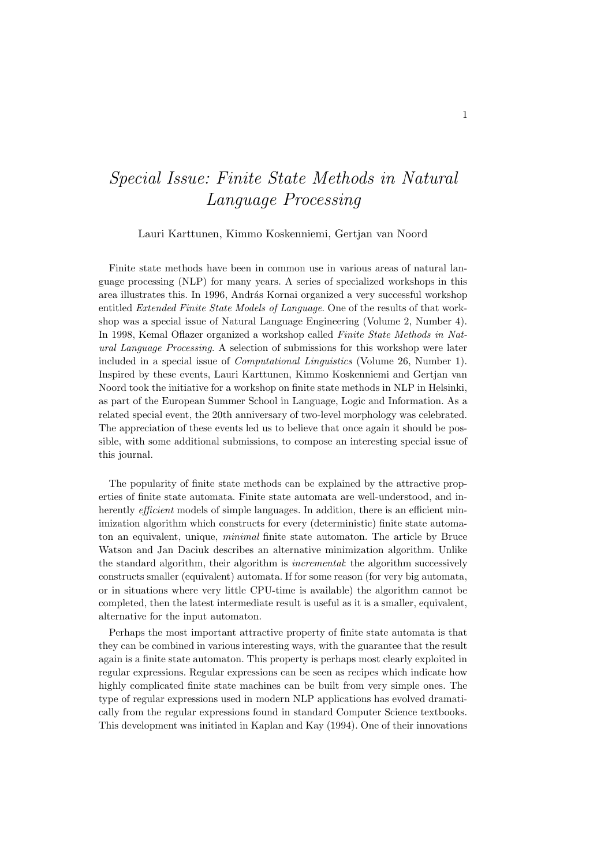## Special Issue: Finite State Methods in Natural Language Processing

Lauri Karttunen, Kimmo Koskenniemi, Gertjan van Noord

Finite state methods have been in common use in various areas of natural language processing (NLP) for many years. A series of specialized workshops in this area illustrates this. In 1996, András Kornai organized a very successful workshop entitled Extended Finite State Models of Language. One of the results of that workshop was a special issue of Natural Language Engineering (Volume 2, Number 4). In 1998, Kemal Oflazer organized a workshop called Finite State Methods in Natural Language Processing. A selection of submissions for this workshop were later included in a special issue of Computational Linguistics (Volume 26, Number 1). Inspired by these events, Lauri Karttunen, Kimmo Koskenniemi and Gertjan van Noord took the initiative for a workshop on finite state methods in NLP in Helsinki, as part of the European Summer School in Language, Logic and Information. As a related special event, the 20th anniversary of two-level morphology was celebrated. The appreciation of these events led us to believe that once again it should be possible, with some additional submissions, to compose an interesting special issue of this journal.

The popularity of finite state methods can be explained by the attractive properties of finite state automata. Finite state automata are well-understood, and inherently *efficient* models of simple languages. In addition, there is an efficient minimization algorithm which constructs for every (deterministic) finite state automaton an equivalent, unique, minimal finite state automaton. The article by Bruce Watson and Jan Daciuk describes an alternative minimization algorithm. Unlike the standard algorithm, their algorithm is incremental: the algorithm successively constructs smaller (equivalent) automata. If for some reason (for very big automata, or in situations where very little CPU-time is available) the algorithm cannot be completed, then the latest intermediate result is useful as it is a smaller, equivalent, alternative for the input automaton.

Perhaps the most important attractive property of finite state automata is that they can be combined in various interesting ways, with the guarantee that the result again is a finite state automaton. This property is perhaps most clearly exploited in regular expressions. Regular expressions can be seen as recipes which indicate how highly complicated finite state machines can be built from very simple ones. The type of regular expressions used in modern NLP applications has evolved dramatically from the regular expressions found in standard Computer Science textbooks. This development was initiated in Kaplan and Kay (1994). One of their innovations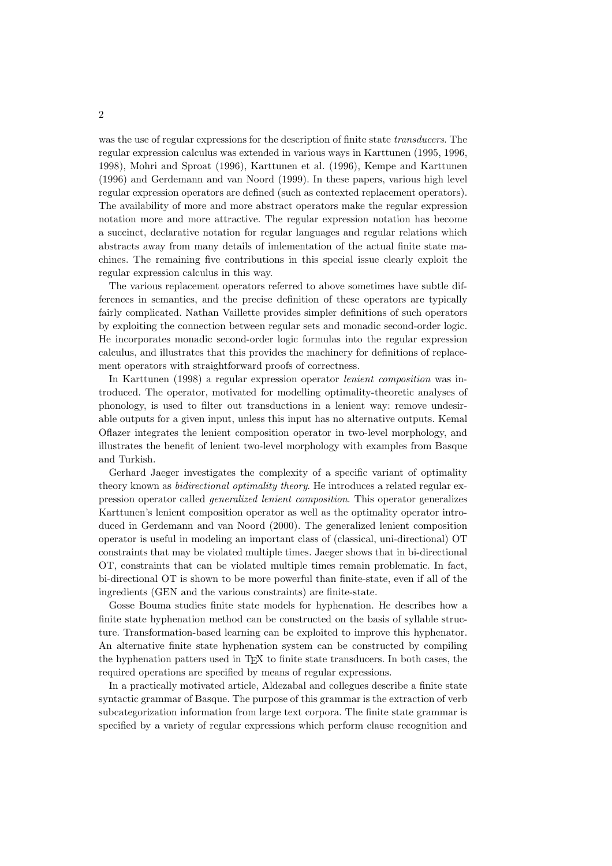was the use of regular expressions for the description of finite state transducers. The regular expression calculus was extended in various ways in Karttunen (1995, 1996, 1998), Mohri and Sproat (1996), Karttunen et al. (1996), Kempe and Karttunen (1996) and Gerdemann and van Noord (1999). In these papers, various high level regular expression operators are defined (such as contexted replacement operators). The availability of more and more abstract operators make the regular expression notation more and more attractive. The regular expression notation has become a succinct, declarative notation for regular languages and regular relations which abstracts away from many details of imlementation of the actual finite state machines. The remaining five contributions in this special issue clearly exploit the regular expression calculus in this way.

The various replacement operators referred to above sometimes have subtle differences in semantics, and the precise definition of these operators are typically fairly complicated. Nathan Vaillette provides simpler definitions of such operators by exploiting the connection between regular sets and monadic second-order logic. He incorporates monadic second-order logic formulas into the regular expression calculus, and illustrates that this provides the machinery for definitions of replacement operators with straightforward proofs of correctness.

In Karttunen (1998) a regular expression operator lenient composition was introduced. The operator, motivated for modelling optimality-theoretic analyses of phonology, is used to filter out transductions in a lenient way: remove undesirable outputs for a given input, unless this input has no alternative outputs. Kemal Oflazer integrates the lenient composition operator in two-level morphology, and illustrates the benefit of lenient two-level morphology with examples from Basque and Turkish.

Gerhard Jaeger investigates the complexity of a specific variant of optimality theory known as bidirectional optimality theory. He introduces a related regular expression operator called generalized lenient composition. This operator generalizes Karttunen's lenient composition operator as well as the optimality operator introduced in Gerdemann and van Noord (2000). The generalized lenient composition operator is useful in modeling an important class of (classical, uni-directional) OT constraints that may be violated multiple times. Jaeger shows that in bi-directional OT, constraints that can be violated multiple times remain problematic. In fact, bi-directional OT is shown to be more powerful than finite-state, even if all of the ingredients (GEN and the various constraints) are finite-state.

Gosse Bouma studies finite state models for hyphenation. He describes how a finite state hyphenation method can be constructed on the basis of syllable structure. Transformation-based learning can be exploited to improve this hyphenator. An alternative finite state hyphenation system can be constructed by compiling the hyphenation patters used in TEX to finite state transducers. In both cases, the required operations are specified by means of regular expressions.

In a practically motivated article, Aldezabal and collegues describe a finite state syntactic grammar of Basque. The purpose of this grammar is the extraction of verb subcategorization information from large text corpora. The finite state grammar is specified by a variety of regular expressions which perform clause recognition and